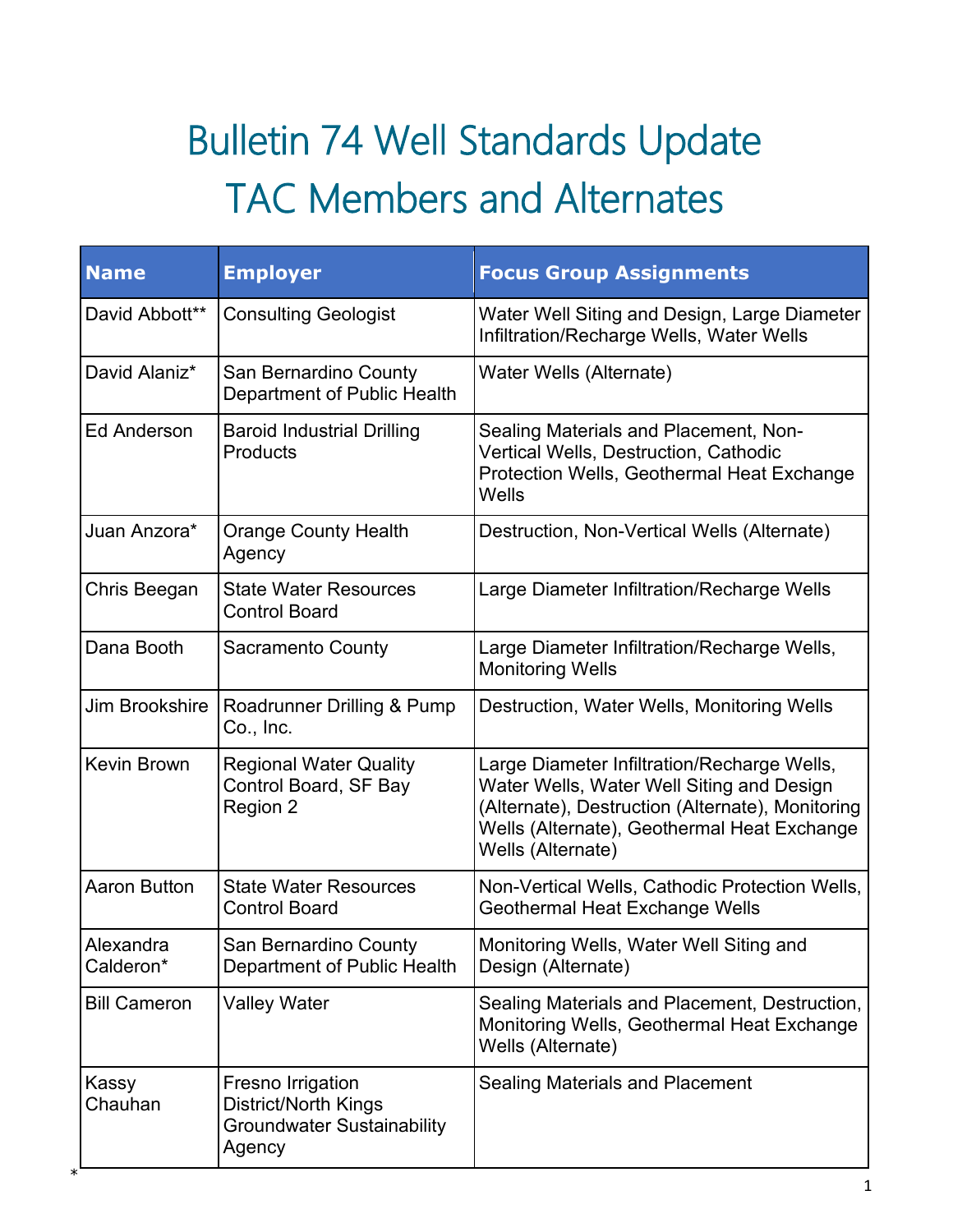## Bulletin 74 Well Standards Update TAC Members and Alternates

| <b>Name</b>            | <b>Employer</b>                                                                                 | <b>Focus Group Assignments</b>                                                                                                                                                                                   |
|------------------------|-------------------------------------------------------------------------------------------------|------------------------------------------------------------------------------------------------------------------------------------------------------------------------------------------------------------------|
| David Abbott**         | <b>Consulting Geologist</b>                                                                     | Water Well Siting and Design, Large Diameter<br>Infiltration/Recharge Wells, Water Wells                                                                                                                         |
| David Alaniz*          | San Bernardino County<br>Department of Public Health                                            | Water Wells (Alternate)                                                                                                                                                                                          |
| <b>Ed Anderson</b>     | <b>Baroid Industrial Drilling</b><br><b>Products</b>                                            | Sealing Materials and Placement, Non-<br>Vertical Wells, Destruction, Cathodic<br>Protection Wells, Geothermal Heat Exchange<br>Wells                                                                            |
| Juan Anzora*           | <b>Orange County Health</b><br>Agency                                                           | Destruction, Non-Vertical Wells (Alternate)                                                                                                                                                                      |
| Chris Beegan           | <b>State Water Resources</b><br><b>Control Board</b>                                            | Large Diameter Infiltration/Recharge Wells                                                                                                                                                                       |
| Dana Booth             | <b>Sacramento County</b>                                                                        | Large Diameter Infiltration/Recharge Wells,<br><b>Monitoring Wells</b>                                                                                                                                           |
| Jim Brookshire         | Roadrunner Drilling & Pump<br>Co., Inc.                                                         | Destruction, Water Wells, Monitoring Wells                                                                                                                                                                       |
| Kevin Brown            | <b>Regional Water Quality</b><br>Control Board, SF Bay<br>Region 2                              | Large Diameter Infiltration/Recharge Wells,<br>Water Wells, Water Well Siting and Design<br>(Alternate), Destruction (Alternate), Monitoring<br>Wells (Alternate), Geothermal Heat Exchange<br>Wells (Alternate) |
| <b>Aaron Button</b>    | <b>State Water Resources</b><br><b>Control Board</b>                                            | Non-Vertical Wells, Cathodic Protection Wells,<br>Geothermal Heat Exchange Wells                                                                                                                                 |
| Alexandra<br>Calderon* | San Bernardino County<br>Department of Public Health                                            | Monitoring Wells, Water Well Siting and<br>Design (Alternate)                                                                                                                                                    |
| <b>Bill Cameron</b>    | <b>Valley Water</b>                                                                             | Sealing Materials and Placement, Destruction,<br>Monitoring Wells, Geothermal Heat Exchange<br>Wells (Alternate)                                                                                                 |
| Kassy<br>Chauhan       | Fresno Irrigation<br><b>District/North Kings</b><br><b>Groundwater Sustainability</b><br>Agency | <b>Sealing Materials and Placement</b>                                                                                                                                                                           |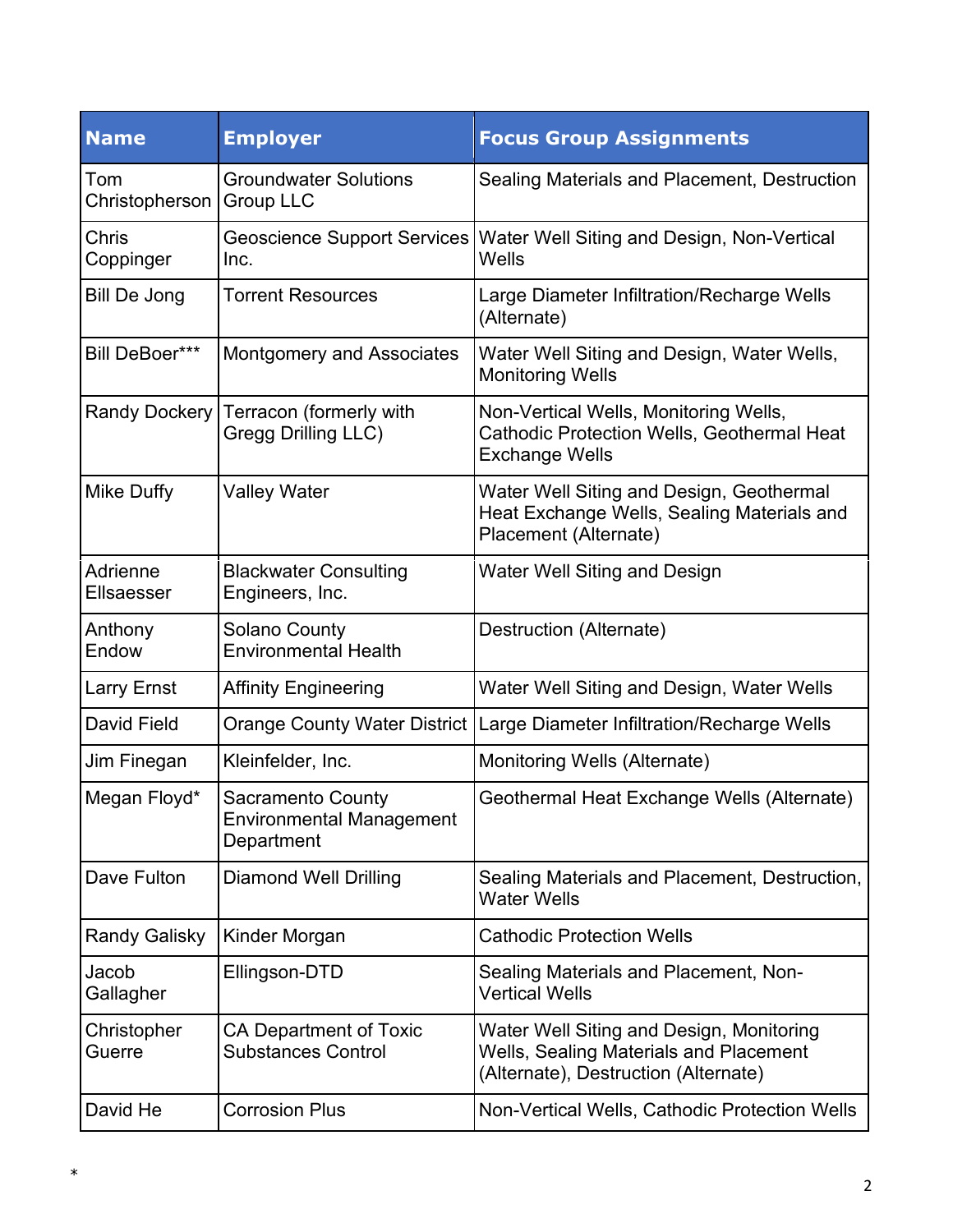| <b>Name</b>                   | <b>Employer</b>                                                           | <b>Focus Group Assignments</b>                                                                                                    |
|-------------------------------|---------------------------------------------------------------------------|-----------------------------------------------------------------------------------------------------------------------------------|
| Tom<br>Christopherson         | <b>Groundwater Solutions</b><br><b>Group LLC</b>                          | Sealing Materials and Placement, Destruction                                                                                      |
| Chris<br>Coppinger            | Geoscience Support Services<br>Inc.                                       | Water Well Siting and Design, Non-Vertical<br>Wells                                                                               |
| <b>Bill De Jong</b>           | <b>Torrent Resources</b>                                                  | Large Diameter Infiltration/Recharge Wells<br>(Alternate)                                                                         |
| <b>Bill DeBoer***</b>         | <b>Montgomery and Associates</b>                                          | Water Well Siting and Design, Water Wells,<br><b>Monitoring Wells</b>                                                             |
| <b>Randy Dockery</b>          | Terracon (formerly with<br><b>Gregg Drilling LLC)</b>                     | Non-Vertical Wells, Monitoring Wells,<br><b>Cathodic Protection Wells, Geothermal Heat</b><br><b>Exchange Wells</b>               |
| <b>Mike Duffy</b>             | <b>Valley Water</b>                                                       | Water Well Siting and Design, Geothermal<br>Heat Exchange Wells, Sealing Materials and<br>Placement (Alternate)                   |
| Adrienne<br><b>Ellsaesser</b> | <b>Blackwater Consulting</b><br>Engineers, Inc.                           | <b>Water Well Siting and Design</b>                                                                                               |
| Anthony<br>Endow              | <b>Solano County</b><br><b>Environmental Health</b>                       | Destruction (Alternate)                                                                                                           |
| <b>Larry Ernst</b>            | <b>Affinity Engineering</b>                                               | Water Well Siting and Design, Water Wells                                                                                         |
| <b>David Field</b>            |                                                                           | Orange County Water District   Large Diameter Infiltration/Recharge Wells                                                         |
| Jim Finegan                   | Kleinfelder, Inc.                                                         | Monitoring Wells (Alternate)                                                                                                      |
| Megan Floyd*                  | <b>Sacramento County</b><br><b>Environmental Management</b><br>Department | Geothermal Heat Exchange Wells (Alternate)                                                                                        |
| Dave Fulton                   | <b>Diamond Well Drilling</b>                                              | Sealing Materials and Placement, Destruction,<br><b>Water Wells</b>                                                               |
| <b>Randy Galisky</b>          | Kinder Morgan                                                             | <b>Cathodic Protection Wells</b>                                                                                                  |
| Jacob<br>Gallagher            | Ellingson-DTD                                                             | Sealing Materials and Placement, Non-<br><b>Vertical Wells</b>                                                                    |
| Christopher<br>Guerre         | CA Department of Toxic<br><b>Substances Control</b>                       | Water Well Siting and Design, Monitoring<br><b>Wells, Sealing Materials and Placement</b><br>(Alternate), Destruction (Alternate) |
| David He                      | <b>Corrosion Plus</b>                                                     | Non-Vertical Wells, Cathodic Protection Wells                                                                                     |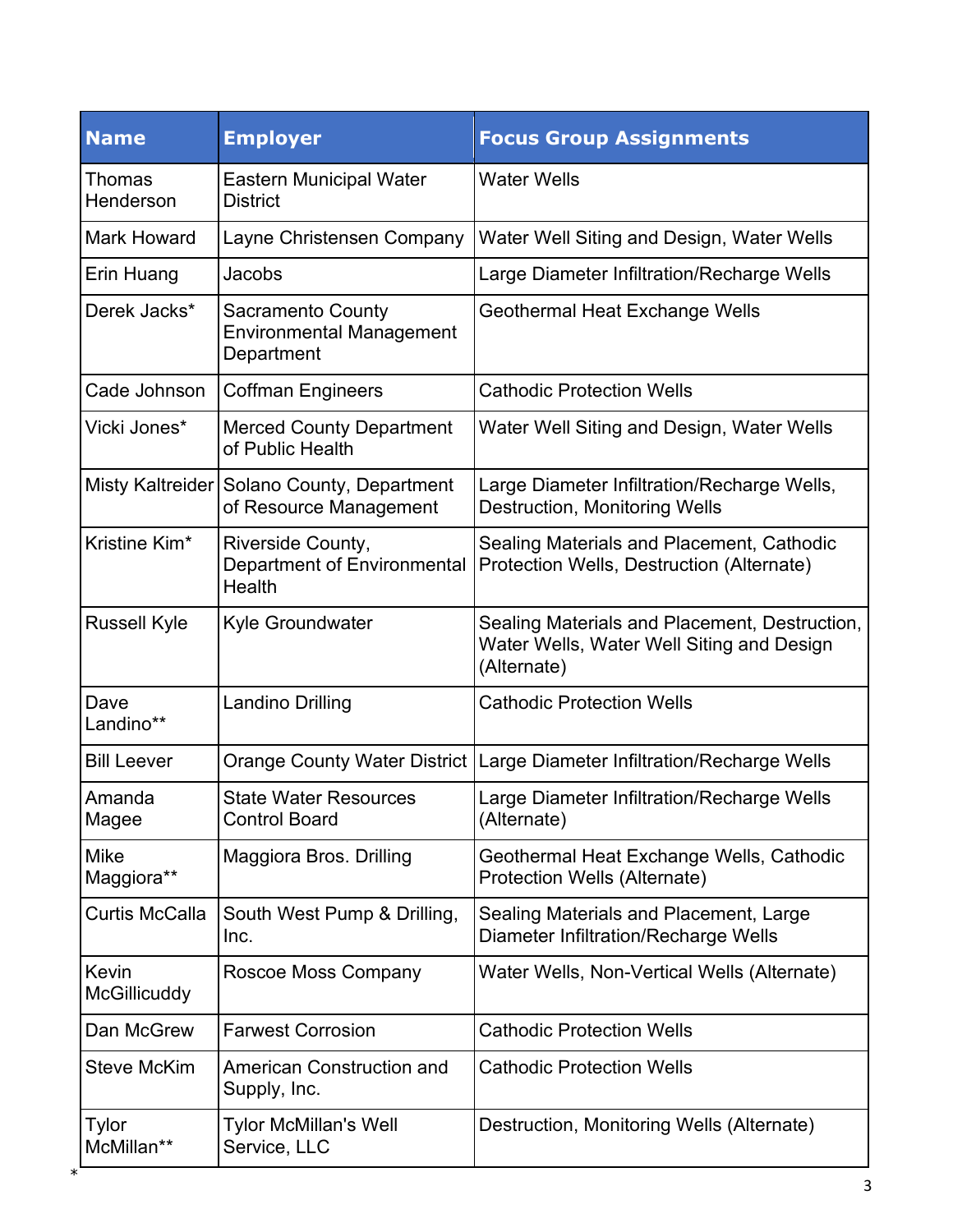| <b>Name</b>                  | <b>Employer</b>                                                           | <b>Focus Group Assignments</b>                                                                            |
|------------------------------|---------------------------------------------------------------------------|-----------------------------------------------------------------------------------------------------------|
| Thomas<br>Henderson          | <b>Eastern Municipal Water</b><br><b>District</b>                         | <b>Water Wells</b>                                                                                        |
| <b>Mark Howard</b>           | Layne Christensen Company                                                 | Water Well Siting and Design, Water Wells                                                                 |
| Erin Huang                   | Jacobs                                                                    | Large Diameter Infiltration/Recharge Wells                                                                |
| Derek Jacks*                 | <b>Sacramento County</b><br><b>Environmental Management</b><br>Department | Geothermal Heat Exchange Wells                                                                            |
| Cade Johnson                 | <b>Coffman Engineers</b>                                                  | <b>Cathodic Protection Wells</b>                                                                          |
| Vicki Jones*                 | <b>Merced County Department</b><br>of Public Health                       | Water Well Siting and Design, Water Wells                                                                 |
|                              | Misty Kaltreider Solano County, Department<br>of Resource Management      | Large Diameter Infiltration/Recharge Wells,<br><b>Destruction, Monitoring Wells</b>                       |
| Kristine Kim*                | Riverside County,<br>Department of Environmental<br>Health                | Sealing Materials and Placement, Cathodic<br>Protection Wells, Destruction (Alternate)                    |
| <b>Russell Kyle</b>          | Kyle Groundwater                                                          | Sealing Materials and Placement, Destruction,<br>Water Wells, Water Well Siting and Design<br>(Alternate) |
| Dave<br>Landino**            | <b>Landino Drilling</b>                                                   | <b>Cathodic Protection Wells</b>                                                                          |
| <b>Bill Leever</b>           |                                                                           | Orange County Water District   Large Diameter Infiltration/Recharge Wells                                 |
| Amanda<br>Magee              | <b>State Water Resources</b><br><b>Control Board</b>                      | Large Diameter Infiltration/Recharge Wells<br>(Alternate)                                                 |
| Mike<br>Maggiora**           | <b>Maggiora Bros. Drilling</b>                                            | Geothermal Heat Exchange Wells, Cathodic<br>Protection Wells (Alternate)                                  |
| <b>Curtis McCalla</b>        | South West Pump & Drilling,<br>Inc.                                       | Sealing Materials and Placement, Large<br><b>Diameter Infiltration/Recharge Wells</b>                     |
| Kevin<br><b>McGillicuddy</b> | Roscoe Moss Company                                                       | Water Wells, Non-Vertical Wells (Alternate)                                                               |
| Dan McGrew                   | <b>Farwest Corrosion</b>                                                  | <b>Cathodic Protection Wells</b>                                                                          |
| <b>Steve McKim</b>           | American Construction and<br>Supply, Inc.                                 | <b>Cathodic Protection Wells</b>                                                                          |
| Tylor<br>McMillan**          | Tylor McMillan's Well<br>Service, LLC                                     | Destruction, Monitoring Wells (Alternate)                                                                 |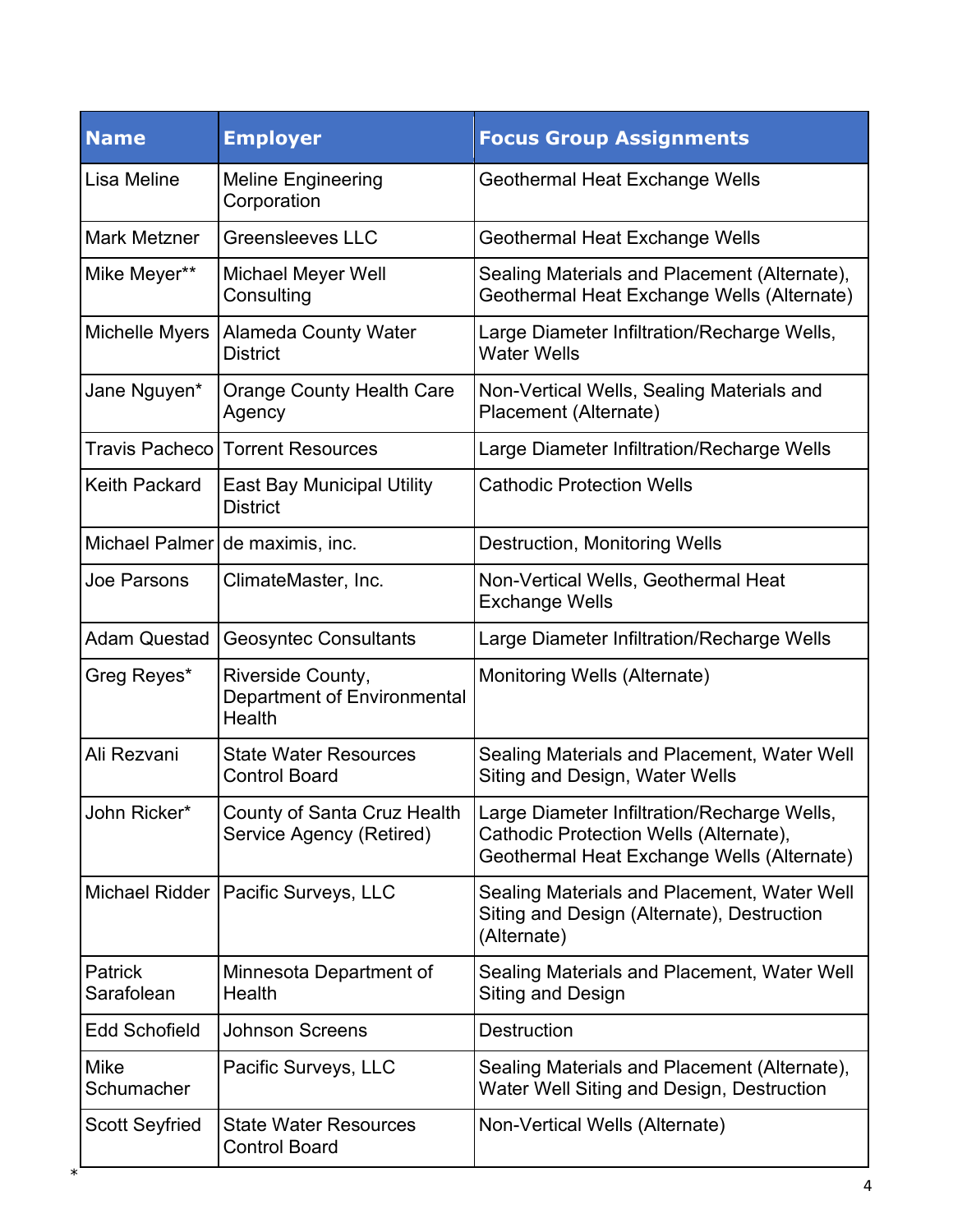| <b>Name</b>               | <b>Employer</b>                                            | <b>Focus Group Assignments</b>                                                                                                      |
|---------------------------|------------------------------------------------------------|-------------------------------------------------------------------------------------------------------------------------------------|
| Lisa Meline               | <b>Meline Engineering</b><br>Corporation                   | Geothermal Heat Exchange Wells                                                                                                      |
| <b>Mark Metzner</b>       | <b>Greensleeves LLC</b>                                    | Geothermal Heat Exchange Wells                                                                                                      |
| Mike Meyer**              | <b>Michael Meyer Well</b><br>Consulting                    | Sealing Materials and Placement (Alternate),<br>Geothermal Heat Exchange Wells (Alternate)                                          |
| Michelle Myers            | <b>Alameda County Water</b><br><b>District</b>             | Large Diameter Infiltration/Recharge Wells,<br><b>Water Wells</b>                                                                   |
| Jane Nguyen*              | <b>Orange County Health Care</b><br>Agency                 | Non-Vertical Wells, Sealing Materials and<br>Placement (Alternate)                                                                  |
| <b>Travis Pacheco</b>     | <b>Torrent Resources</b>                                   | Large Diameter Infiltration/Recharge Wells                                                                                          |
| <b>Keith Packard</b>      | <b>East Bay Municipal Utility</b><br><b>District</b>       | <b>Cathodic Protection Wells</b>                                                                                                    |
| Michael Palmer            | de maximis, inc.                                           | <b>Destruction, Monitoring Wells</b>                                                                                                |
| Joe Parsons               | ClimateMaster, Inc.                                        | Non-Vertical Wells, Geothermal Heat<br><b>Exchange Wells</b>                                                                        |
| <b>Adam Questad</b>       | <b>Geosyntec Consultants</b>                               | Large Diameter Infiltration/Recharge Wells                                                                                          |
| Greg Reyes*               | Riverside County,<br>Department of Environmental<br>Health | Monitoring Wells (Alternate)                                                                                                        |
| Ali Rezvani               | <b>State Water Resources</b><br><b>Control Board</b>       | Sealing Materials and Placement, Water Well<br>Siting and Design, Water Wells                                                       |
| John Ricker*              | County of Santa Cruz Health<br>Service Agency (Retired)    | Large Diameter Infiltration/Recharge Wells,<br>Cathodic Protection Wells (Alternate),<br>Geothermal Heat Exchange Wells (Alternate) |
|                           | Michael Ridder   Pacific Surveys, LLC                      | Sealing Materials and Placement, Water Well<br>Siting and Design (Alternate), Destruction<br>(Alternate)                            |
| Patrick<br>Sarafolean     | Minnesota Department of<br>Health                          | Sealing Materials and Placement, Water Well<br>Siting and Design                                                                    |
| <b>Edd Schofield</b>      | <b>Johnson Screens</b>                                     | <b>Destruction</b>                                                                                                                  |
| <b>Mike</b><br>Schumacher | Pacific Surveys, LLC                                       | Sealing Materials and Placement (Alternate),<br>Water Well Siting and Design, Destruction                                           |
| <b>Scott Seyfried</b>     | <b>State Water Resources</b><br><b>Control Board</b>       | Non-Vertical Wells (Alternate)                                                                                                      |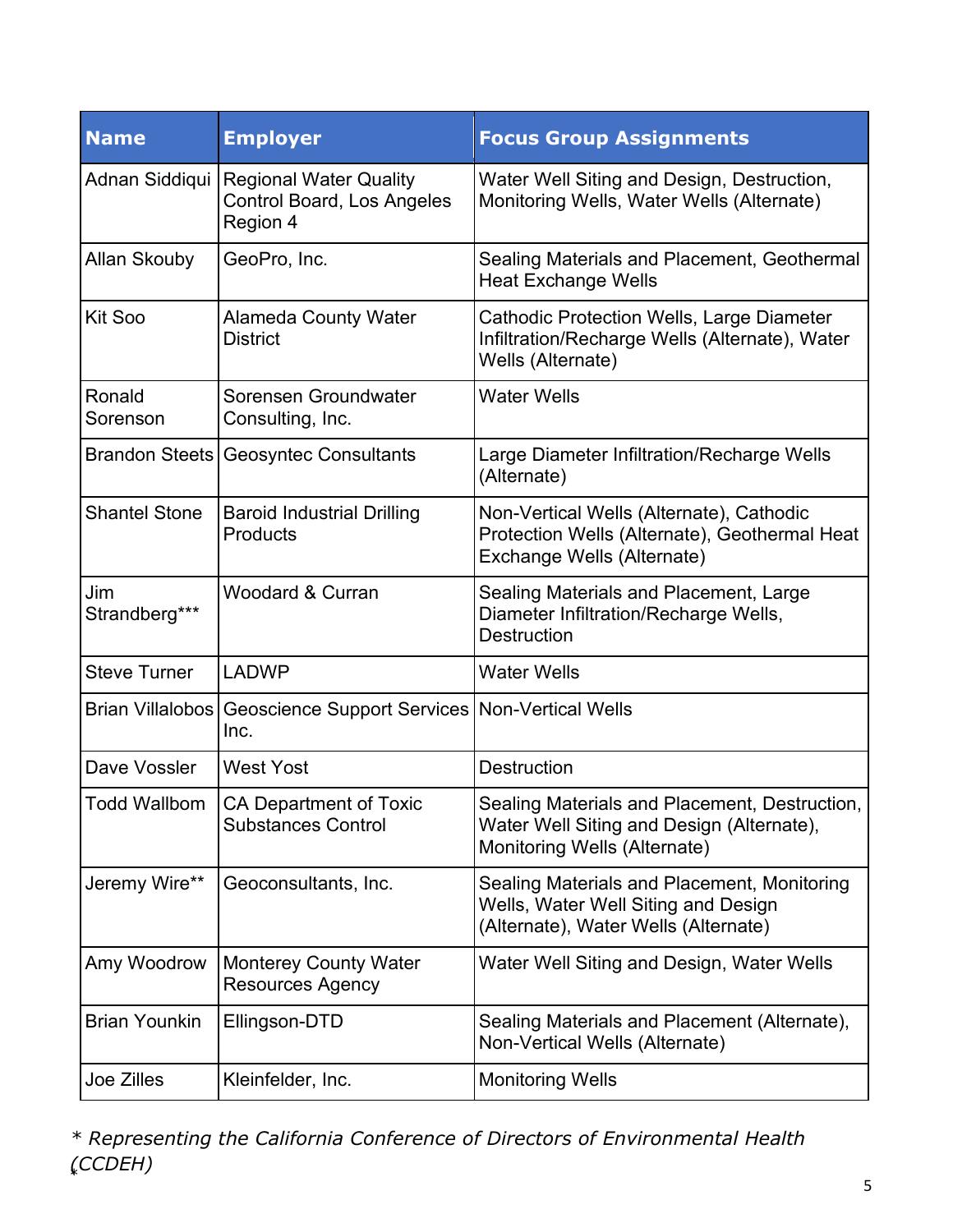| <b>Name</b>          | <b>Employer</b>                                                                 | <b>Focus Group Assignments</b>                                                                                               |
|----------------------|---------------------------------------------------------------------------------|------------------------------------------------------------------------------------------------------------------------------|
|                      | Adnan Siddiqui Regional Water Quality<br>Control Board, Los Angeles<br>Region 4 | Water Well Siting and Design, Destruction,<br>Monitoring Wells, Water Wells (Alternate)                                      |
| <b>Allan Skouby</b>  | GeoPro, Inc.                                                                    | Sealing Materials and Placement, Geothermal<br><b>Heat Exchange Wells</b>                                                    |
| Kit Soo              | <b>Alameda County Water</b><br><b>District</b>                                  | Cathodic Protection Wells, Large Diameter<br>Infiltration/Recharge Wells (Alternate), Water<br>Wells (Alternate)             |
| Ronald<br>Sorenson   | Sorensen Groundwater<br>Consulting, Inc.                                        | <b>Water Wells</b>                                                                                                           |
|                      | <b>Brandon Steets Geosyntec Consultants</b>                                     | Large Diameter Infiltration/Recharge Wells<br>(Alternate)                                                                    |
| <b>Shantel Stone</b> | <b>Baroid Industrial Drilling</b><br>Products                                   | Non-Vertical Wells (Alternate), Cathodic<br>Protection Wells (Alternate), Geothermal Heat<br>Exchange Wells (Alternate)      |
| Jim<br>Strandberg*** | <b>Woodard &amp; Curran</b>                                                     | Sealing Materials and Placement, Large<br>Diameter Infiltration/Recharge Wells,<br><b>Destruction</b>                        |
| <b>Steve Turner</b>  | <b>LADWP</b>                                                                    | <b>Water Wells</b>                                                                                                           |
|                      | Brian Villalobos   Geoscience Support Services   Non-Vertical Wells<br>Inc.     |                                                                                                                              |
| Dave Vossler         | <b>West Yost</b>                                                                | <b>Destruction</b>                                                                                                           |
| Todd Wallbom         | <b>CA Department of Toxic</b><br><b>Substances Control</b>                      | Sealing Materials and Placement, Destruction,  <br>Water Well Siting and Design (Alternate),<br>Monitoring Wells (Alternate) |
| Jeremy Wire**        | Geoconsultants, Inc.                                                            | Sealing Materials and Placement, Monitoring<br>Wells, Water Well Siting and Design<br>(Alternate), Water Wells (Alternate)   |
| Amy Woodrow          | <b>Monterey County Water</b><br><b>Resources Agency</b>                         | Water Well Siting and Design, Water Wells                                                                                    |
| <b>Brian Younkin</b> | Ellingson-DTD                                                                   | Sealing Materials and Placement (Alternate),<br>Non-Vertical Wells (Alternate)                                               |
| Joe Zilles           | Kleinfelder, Inc.                                                               | <b>Monitoring Wells</b>                                                                                                      |

 $\frac{1}{2}$  5 *\* Representing the California Conference of Directors of Environmental Health (CCDEH)*